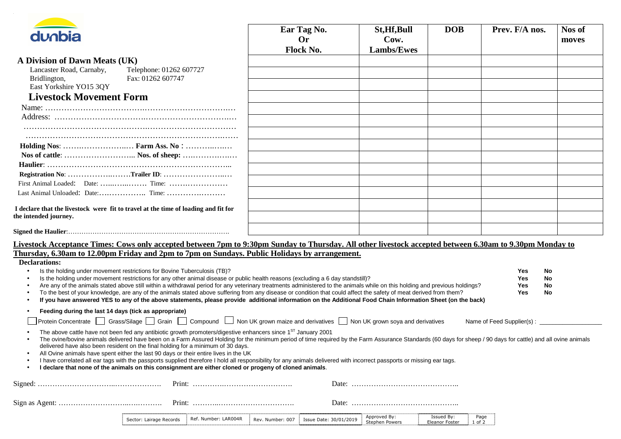| dunbia                                                                                                                                                                                                                                                                                                                                                                                                                                                                                                                                                                                                                                                                                                                                                                                                      | Ear Tag No.<br><b>Or</b><br>Flock No. | St, Hf, Bull<br>Cow.<br><b>Lambs/Ewes</b> | <b>DOB</b> | Prev. F/A nos.                                                        | Nos of<br>moves |
|-------------------------------------------------------------------------------------------------------------------------------------------------------------------------------------------------------------------------------------------------------------------------------------------------------------------------------------------------------------------------------------------------------------------------------------------------------------------------------------------------------------------------------------------------------------------------------------------------------------------------------------------------------------------------------------------------------------------------------------------------------------------------------------------------------------|---------------------------------------|-------------------------------------------|------------|-----------------------------------------------------------------------|-----------------|
| A Division of Dawn Meats (UK)                                                                                                                                                                                                                                                                                                                                                                                                                                                                                                                                                                                                                                                                                                                                                                               |                                       |                                           |            |                                                                       |                 |
| Lancaster Road, Carnaby,<br>Telephone: 01262 607727                                                                                                                                                                                                                                                                                                                                                                                                                                                                                                                                                                                                                                                                                                                                                         |                                       |                                           |            |                                                                       |                 |
| Fax: 01262 607747<br>Bridlington,                                                                                                                                                                                                                                                                                                                                                                                                                                                                                                                                                                                                                                                                                                                                                                           |                                       |                                           |            |                                                                       |                 |
| East Yorkshire YO15 3QY                                                                                                                                                                                                                                                                                                                                                                                                                                                                                                                                                                                                                                                                                                                                                                                     |                                       |                                           |            |                                                                       |                 |
| <b>Livestock Movement Form</b>                                                                                                                                                                                                                                                                                                                                                                                                                                                                                                                                                                                                                                                                                                                                                                              |                                       |                                           |            |                                                                       |                 |
|                                                                                                                                                                                                                                                                                                                                                                                                                                                                                                                                                                                                                                                                                                                                                                                                             |                                       |                                           |            |                                                                       |                 |
|                                                                                                                                                                                                                                                                                                                                                                                                                                                                                                                                                                                                                                                                                                                                                                                                             |                                       |                                           |            |                                                                       |                 |
|                                                                                                                                                                                                                                                                                                                                                                                                                                                                                                                                                                                                                                                                                                                                                                                                             |                                       |                                           |            |                                                                       |                 |
|                                                                                                                                                                                                                                                                                                                                                                                                                                                                                                                                                                                                                                                                                                                                                                                                             |                                       |                                           |            |                                                                       |                 |
|                                                                                                                                                                                                                                                                                                                                                                                                                                                                                                                                                                                                                                                                                                                                                                                                             |                                       |                                           |            |                                                                       |                 |
|                                                                                                                                                                                                                                                                                                                                                                                                                                                                                                                                                                                                                                                                                                                                                                                                             |                                       |                                           |            |                                                                       |                 |
|                                                                                                                                                                                                                                                                                                                                                                                                                                                                                                                                                                                                                                                                                                                                                                                                             |                                       |                                           |            |                                                                       |                 |
|                                                                                                                                                                                                                                                                                                                                                                                                                                                                                                                                                                                                                                                                                                                                                                                                             |                                       |                                           |            |                                                                       |                 |
|                                                                                                                                                                                                                                                                                                                                                                                                                                                                                                                                                                                                                                                                                                                                                                                                             |                                       |                                           |            |                                                                       |                 |
|                                                                                                                                                                                                                                                                                                                                                                                                                                                                                                                                                                                                                                                                                                                                                                                                             |                                       |                                           |            |                                                                       |                 |
| I declare that the livestock were fit to travel at the time of loading and fit for                                                                                                                                                                                                                                                                                                                                                                                                                                                                                                                                                                                                                                                                                                                          |                                       |                                           |            |                                                                       |                 |
| the intended journey.                                                                                                                                                                                                                                                                                                                                                                                                                                                                                                                                                                                                                                                                                                                                                                                       |                                       |                                           |            |                                                                       |                 |
|                                                                                                                                                                                                                                                                                                                                                                                                                                                                                                                                                                                                                                                                                                                                                                                                             |                                       |                                           |            |                                                                       |                 |
|                                                                                                                                                                                                                                                                                                                                                                                                                                                                                                                                                                                                                                                                                                                                                                                                             |                                       |                                           |            |                                                                       |                 |
| Livestock Acceptance Times: Cows only accepted between 7pm to 9:30pm Sunday to Thursday. All other livestock accepted between 6.30am to 9.30pm Monday to<br>Thursday, 6.30am to 12.00pm Friday and 2pm to 7pm on Sundays. Public Holidays by arrangement.                                                                                                                                                                                                                                                                                                                                                                                                                                                                                                                                                   |                                       |                                           |            |                                                                       |                 |
| <b>Declarations:</b>                                                                                                                                                                                                                                                                                                                                                                                                                                                                                                                                                                                                                                                                                                                                                                                        |                                       |                                           |            |                                                                       |                 |
| Is the holding under movement restrictions for Bovine Tuberculosis (TB)?<br>$\bullet$<br>Is the holding under movement restrictions for any other animal disease or public health reasons (excluding a 6 day standstill)?<br>Are any of the animals stated above still within a withdrawal period for any veterinary treatments administered to the animals while on this holding and previous holdings?<br>To the best of your knowledge, are any of the animals stated above suffering from any disease or condition that could affect the safety of meat derived from them?                                                                                                                                                                                                                              |                                       |                                           |            | Yes<br>No<br>No<br><b>Yes</b><br>No<br><b>Yes</b><br><b>Yes</b><br>No |                 |
| If you have answered YES to any of the above statements, please provide additional information on the Additional Food Chain Information Sheet (on the back)                                                                                                                                                                                                                                                                                                                                                                                                                                                                                                                                                                                                                                                 |                                       |                                           |            |                                                                       |                 |
| Feeding during the last 14 days (tick as appropriate)<br>$\bullet$                                                                                                                                                                                                                                                                                                                                                                                                                                                                                                                                                                                                                                                                                                                                          |                                       |                                           |            |                                                                       |                 |
| Protein Concentrate Grass/Silage Grain Compound Non UK grown maize and derivatives Non UK grown soya and derivatives                                                                                                                                                                                                                                                                                                                                                                                                                                                                                                                                                                                                                                                                                        |                                       |                                           |            |                                                                       |                 |
| The above cattle have not been fed any antibiotic growth promoters/digestive enhancers since 1ST January 2001<br>The ovine/bovine animals delivered have been on a Farm Assured Holding for the minimum period of time required by the Farm Assurance Standards (60 days for sheep / 90 days for cattle) and all ovine animals<br>delivered have also been resident on the final holding for a minimum of 30 days.<br>All Ovine animals have spent either the last 90 days or their entire lives in the UK<br>I have correlated all ear tags with the passports supplied therefore I hold all responsibility for any animals delivered with incorrect passports or missing ear tags.<br>I declare that none of the animals on this consignment are either cloned or progeny of cloned animals.<br>$\bullet$ |                                       |                                           |            |                                                                       |                 |
|                                                                                                                                                                                                                                                                                                                                                                                                                                                                                                                                                                                                                                                                                                                                                                                                             |                                       |                                           |            |                                                                       |                 |
|                                                                                                                                                                                                                                                                                                                                                                                                                                                                                                                                                                                                                                                                                                                                                                                                             |                                       |                                           |            |                                                                       |                 |
|                                                                                                                                                                                                                                                                                                                                                                                                                                                                                                                                                                                                                                                                                                                                                                                                             |                                       |                                           |            |                                                                       |                 |
|                                                                                                                                                                                                                                                                                                                                                                                                                                                                                                                                                                                                                                                                                                                                                                                                             |                                       |                                           |            |                                                                       |                 |
|                                                                                                                                                                                                                                                                                                                                                                                                                                                                                                                                                                                                                                                                                                                                                                                                             |                                       | Approved By:                              | Issued By: | Page                                                                  |                 |